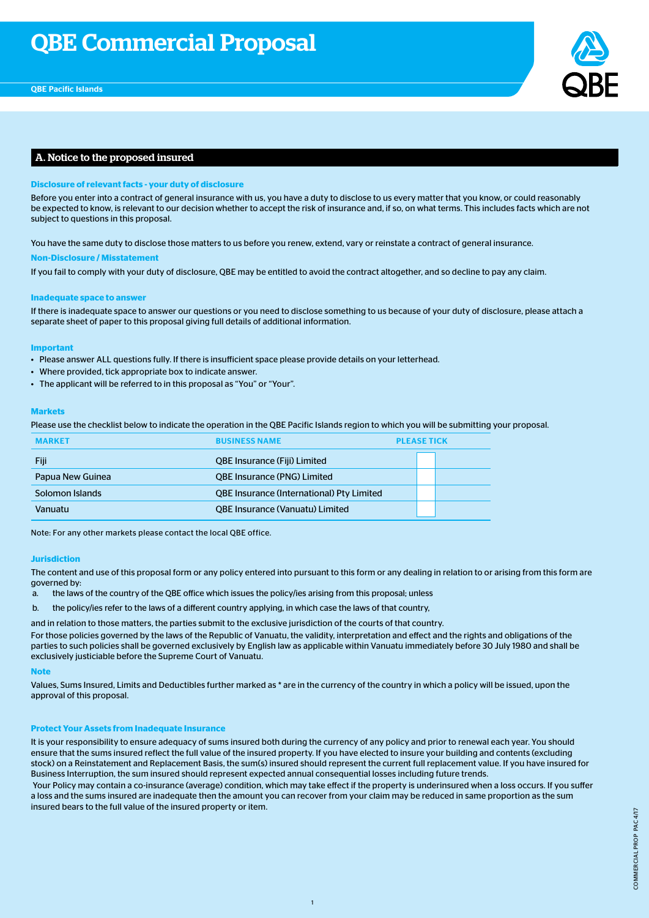

## A. Notice to the proposed insured

## **Disclosure of relevant facts - your duty of disclosure**

Before you enter into a contract of general insurance with us, you have a duty to disclose to us every matter that you know, or could reasonably be expected to know, is relevant to our decision whether to accept the risk of insurance and, if so, on what terms. This includes facts which are not subject to questions in this proposal.

You have the same duty to disclose those matters to us before you renew, extend, vary or reinstate a contract of general insurance.

#### **Non-Disclosure / Misstatement**

If you fail to comply with your duty of disclosure, QBE may be entitled to avoid the contract altogether, and so decline to pay any claim.

#### **Inadequate space to answer**

If there is inadequate space to answer our questions or you need to disclose something to us because of your duty of disclosure, please attach a separate sheet of paper to this proposal giving full details of additional information.

#### **Important**

- Please answer ALL questions fully. If there is insufficient space please provide details on your letterhead.
- Where provided, tick appropriate box to indicate answer.
- The applicant will be referred to in this proposal as "You" or "Your".

#### **Markets**

Please use the checklist below to indicate the operation in the QBE Pacific Islands region to which you will be submitting your proposal.

| <b>MARKET</b>    | <b>BUSINESS NAME</b>                             | <b>PLEASE TICK</b> |
|------------------|--------------------------------------------------|--------------------|
| Fiji             | <b>QBE Insurance (Fiji) Limited</b>              |                    |
| Papua New Guinea | <b>QBE Insurance (PNG) Limited</b>               |                    |
| Solomon Islands  | <b>QBE Insurance (International) Pty Limited</b> |                    |
| Vanuatu          | <b>QBE Insurance (Vanuatu) Limited</b>           |                    |

Note: For any other markets please contact the local QBE office.

#### **Jurisdiction**

The content and use of this proposal form or any policy entered into pursuant to this form or any dealing in relation to or arising from this form are governed by:

- a. the laws of the country of the QBE office which issues the policy/ies arising from this proposal; unless
- b. the policy/ies refer to the laws of a different country applying, in which case the laws of that country,

and in relation to those matters, the parties submit to the exclusive jurisdiction of the courts of that country.

For those policies governed by the laws of the Republic of Vanuatu, the validity, interpretation and effect and the rights and obligations of the parties to such policies shall be governed exclusively by English law as applicable within Vanuatu immediately before 30 July 1980 and shall be exclusively justiciable before the Supreme Court of Vanuatu.

#### **Note**

Values, Sums Insured, Limits and Deductibles further marked as \* are in the currency of the country in which a policy will be issued, upon the approval of this proposal.

## **Protect Your Assets from Inadequate Insurance**

It is your responsibility to ensure adequacy of sums insured both during the currency of any policy and prior to renewal each year. You should ensure that the sums insured reflect the full value of the insured property. If you have elected to insure your building and contents (excluding stock) on a Reinstatement and Replacement Basis, the sum(s) insured should represent the current full replacement value. If you have insured for Business Interruption, the sum insured should represent expected annual consequential losses including future trends.

 Your Policy may contain a co-insurance (average) condition, which may take effect if the property is underinsured when a loss occurs. If you suffer a loss and the sums insured are inadequate then the amount you can recover from your claim may be reduced in same proportion as the sum insured bears to the full value of the insured property or item.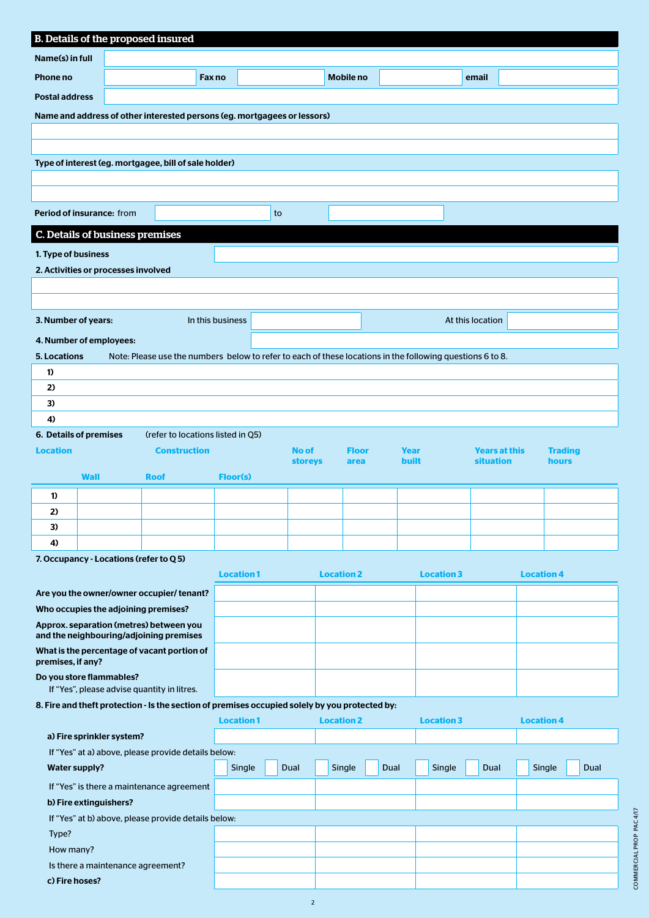|                       | B. Details of the proposed insured                                       |                                                                                                           |                  |                                |                      |      |                             |                                          |                   |                |
|-----------------------|--------------------------------------------------------------------------|-----------------------------------------------------------------------------------------------------------|------------------|--------------------------------|----------------------|------|-----------------------------|------------------------------------------|-------------------|----------------|
| Name(s) in full       |                                                                          |                                                                                                           |                  |                                |                      |      |                             |                                          |                   |                |
| Phone no              |                                                                          | Fax no                                                                                                    |                  |                                | <b>Mobile no</b>     |      |                             | email                                    |                   |                |
| <b>Postal address</b> |                                                                          |                                                                                                           |                  |                                |                      |      |                             |                                          |                   |                |
|                       | Name and address of other interested persons (eg. mortgagees or lessors) |                                                                                                           |                  |                                |                      |      |                             |                                          |                   |                |
|                       |                                                                          |                                                                                                           |                  |                                |                      |      |                             |                                          |                   |                |
|                       |                                                                          |                                                                                                           |                  |                                |                      |      |                             |                                          |                   |                |
|                       |                                                                          | Type of interest (eg. mortgagee, bill of sale holder)                                                     |                  |                                |                      |      |                             |                                          |                   |                |
|                       |                                                                          |                                                                                                           |                  |                                |                      |      |                             |                                          |                   |                |
|                       |                                                                          |                                                                                                           |                  |                                |                      |      |                             |                                          |                   |                |
|                       | Period of insurance: from                                                |                                                                                                           |                  | to                             |                      |      |                             |                                          |                   |                |
|                       | C. Details of business premises                                          |                                                                                                           |                  |                                |                      |      |                             |                                          |                   |                |
| 1. Type of business   |                                                                          |                                                                                                           |                  |                                |                      |      |                             |                                          |                   |                |
|                       | 2. Activities or processes involved                                      |                                                                                                           |                  |                                |                      |      |                             |                                          |                   |                |
|                       |                                                                          |                                                                                                           |                  |                                |                      |      |                             |                                          |                   |                |
|                       |                                                                          |                                                                                                           |                  |                                |                      |      |                             |                                          |                   |                |
| 3. Number of years:   |                                                                          |                                                                                                           | In this business |                                |                      |      |                             | At this location                         |                   |                |
|                       | 4. Number of employees:                                                  |                                                                                                           |                  |                                |                      |      |                             |                                          |                   |                |
| 5. Locations          |                                                                          | Note: Please use the numbers below to refer to each of these locations in the following questions 6 to 8. |                  |                                |                      |      |                             |                                          |                   |                |
| 1)                    |                                                                          |                                                                                                           |                  |                                |                      |      |                             |                                          |                   |                |
| 2)                    |                                                                          |                                                                                                           |                  |                                |                      |      |                             |                                          |                   |                |
| 3)                    |                                                                          |                                                                                                           |                  |                                |                      |      |                             |                                          |                   |                |
| 4)                    |                                                                          |                                                                                                           |                  |                                |                      |      |                             |                                          |                   |                |
|                       | 6. Details of premises                                                   | (refer to locations listed in Q5)                                                                         |                  |                                |                      |      |                             |                                          |                   |                |
| <b>Location</b>       |                                                                          | <b>Construction</b>                                                                                       |                  | <b>No of</b><br><b>storeys</b> | <b>Floor</b><br>area |      | <b>Year</b><br><b>built</b> | <b>Years at this</b><br><b>situation</b> | hours             | <b>Trading</b> |
|                       | <b>Wall</b>                                                              | <b>Roof</b>                                                                                               | <b>Floor(s)</b>  |                                |                      |      |                             |                                          |                   |                |
| 1)                    |                                                                          |                                                                                                           |                  |                                |                      |      |                             |                                          |                   |                |
| 2)                    |                                                                          |                                                                                                           |                  |                                |                      |      |                             |                                          |                   |                |
| 3)                    |                                                                          |                                                                                                           |                  |                                |                      |      |                             |                                          |                   |                |
| 4)                    |                                                                          |                                                                                                           |                  |                                |                      |      |                             |                                          |                   |                |
|                       | 7. Occupancy - Locations (refer to Q 5)                                  |                                                                                                           |                  |                                |                      |      |                             |                                          |                   |                |
|                       |                                                                          |                                                                                                           | <b>Location1</b> |                                | <b>Location 2</b>    |      | <b>Location 3</b>           |                                          | <b>Location 4</b> |                |
|                       |                                                                          | Are you the owner/owner occupier/tenant?                                                                  |                  |                                |                      |      |                             |                                          |                   |                |
|                       | Who occupies the adjoining premises?                                     |                                                                                                           |                  |                                |                      |      |                             |                                          |                   |                |
|                       |                                                                          | Approx. separation (metres) between you<br>and the neighbouring/adjoining premises                        |                  |                                |                      |      |                             |                                          |                   |                |
| premises, if any?     |                                                                          | What is the percentage of vacant portion of                                                               |                  |                                |                      |      |                             |                                          |                   |                |
|                       | Do you store flammables?                                                 | If "Yes", please advise quantity in litres.                                                               |                  |                                |                      |      |                             |                                          |                   |                |
|                       |                                                                          | 8. Fire and theft protection - Is the section of premises occupied solely by you protected by:            |                  |                                |                      |      |                             |                                          |                   |                |
|                       |                                                                          |                                                                                                           | <b>Location1</b> |                                | <b>Location 2</b>    |      | <b>Location 3</b>           |                                          | <b>Location 4</b> |                |
|                       | a) Fire sprinkler system?                                                |                                                                                                           |                  |                                |                      |      |                             |                                          |                   |                |
|                       |                                                                          | If "Yes" at a) above, please provide details below:                                                       |                  |                                |                      |      |                             |                                          |                   |                |
|                       | <b>Water supply?</b>                                                     |                                                                                                           | Single           | Dual                           | Single               | Dual | Single                      | Dual                                     | Single            | Dual           |
|                       |                                                                          | If "Yes" is there a maintenance agreement                                                                 |                  |                                |                      |      |                             |                                          |                   |                |
|                       | b) Fire extinguishers?                                                   |                                                                                                           |                  |                                |                      |      |                             |                                          |                   |                |
|                       |                                                                          | If "Yes" at b) above, please provide details below:                                                       |                  |                                |                      |      |                             |                                          |                   |                |
| Type?<br>How many?    |                                                                          |                                                                                                           |                  |                                |                      |      |                             |                                          |                   |                |
|                       | Is there a maintenance agreement?                                        |                                                                                                           |                  |                                |                      |      |                             |                                          |                   |                |
|                       | c) Fire hoses?                                                           |                                                                                                           |                  |                                |                      |      |                             |                                          |                   |                |

2

| י<br>י      |  |
|-------------|--|
| ì           |  |
| <b>AC</b>   |  |
|             |  |
| ica         |  |
|             |  |
|             |  |
| Ξ           |  |
| <b>DCIA</b> |  |
| ì,          |  |
| ì           |  |
| ì           |  |
|             |  |
|             |  |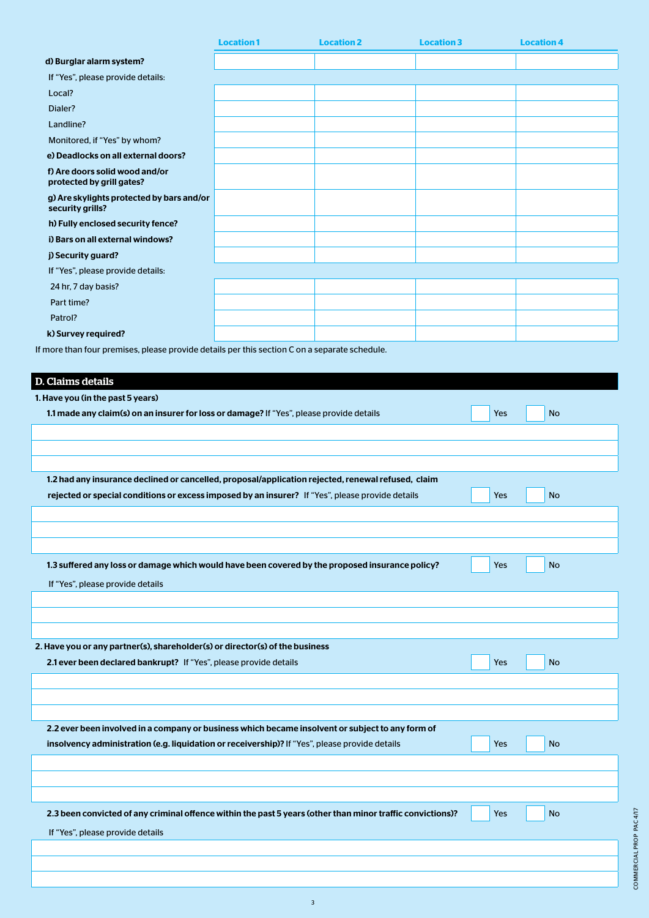|                                                                                                                           | <b>Location1</b> | <b>Location 2</b> | <b>Location 3</b> | <b>Location 4</b> |  |
|---------------------------------------------------------------------------------------------------------------------------|------------------|-------------------|-------------------|-------------------|--|
| d) Burglar alarm system?                                                                                                  |                  |                   |                   |                   |  |
| If "Yes", please provide details:                                                                                         |                  |                   |                   |                   |  |
| Local?                                                                                                                    |                  |                   |                   |                   |  |
| Dialer?                                                                                                                   |                  |                   |                   |                   |  |
| Landline?                                                                                                                 |                  |                   |                   |                   |  |
| Monitored, if "Yes" by whom?                                                                                              |                  |                   |                   |                   |  |
| e) Deadlocks on all external doors?                                                                                       |                  |                   |                   |                   |  |
| f) Are doors solid wood and/or<br>protected by grill gates?                                                               |                  |                   |                   |                   |  |
| g) Are skylights protected by bars and/or<br>security grills?                                                             |                  |                   |                   |                   |  |
| h) Fully enclosed security fence?                                                                                         |                  |                   |                   |                   |  |
| i) Bars on all external windows?                                                                                          |                  |                   |                   |                   |  |
| j) Security guard?                                                                                                        |                  |                   |                   |                   |  |
| If "Yes", please provide details:                                                                                         |                  |                   |                   |                   |  |
| 24 hr, 7 day basis?                                                                                                       |                  |                   |                   |                   |  |
| Part time?                                                                                                                |                  |                   |                   |                   |  |
| Patrol?                                                                                                                   |                  |                   |                   |                   |  |
| k) Survey required?                                                                                                       |                  |                   |                   |                   |  |
| If more than four premises, please provide details per this section C on a separate schedule.<br><b>D. Claims details</b> |                  |                   |                   |                   |  |
| 1. Have you (in the past 5 years)                                                                                         |                  |                   |                   |                   |  |
| 1.1 made any claim(s) on an insurer for loss or damage? If "Yes", please provide details                                  |                  |                   | <b>Yes</b>        | <b>No</b>         |  |
|                                                                                                                           |                  |                   |                   |                   |  |
|                                                                                                                           |                  |                   |                   |                   |  |
| 1.2 had any insurance declined or cancelled, proposal/application rejected, renewal refused, claim                        |                  |                   |                   |                   |  |

| 1.3 suffered any loss or damage which would have been covered by the proposed insurance policy? | Yes | <b>No</b> |  |
|-------------------------------------------------------------------------------------------------|-----|-----------|--|
| If "Yes", please provide details                                                                |     |           |  |
|                                                                                                 |     |           |  |
|                                                                                                 |     |           |  |
|                                                                                                 |     |           |  |
| 2. Have you or any partner(s), shareholder(s) or director(s) of the business                    |     |           |  |
| 2.1 ever been declared bankrupt? If "Yes", please provide details                               | Yes | <b>No</b> |  |
|                                                                                                 |     |           |  |
|                                                                                                 |     |           |  |
|                                                                                                 |     |           |  |

rejected or special conditions or excess imposed by an insurer? If "Yes", please provide details Yes No No

| 2.2 ever been involved in a company or business which became insolvent or subject to any form of           |     |           |  |
|------------------------------------------------------------------------------------------------------------|-----|-----------|--|
| insolvency administration (e.g. liquidation or receivership)? If "Yes", please provide details             | Yes | <b>No</b> |  |
|                                                                                                            |     |           |  |
|                                                                                                            |     |           |  |
|                                                                                                            |     |           |  |
| 2.3 been convicted of any criminal offence within the past 5 years (other than minor traffic convictions)? | Yes | <b>No</b> |  |
| If "Yes", please provide details                                                                           |     |           |  |
|                                                                                                            |     |           |  |
|                                                                                                            |     |           |  |
|                                                                                                            |     |           |  |

3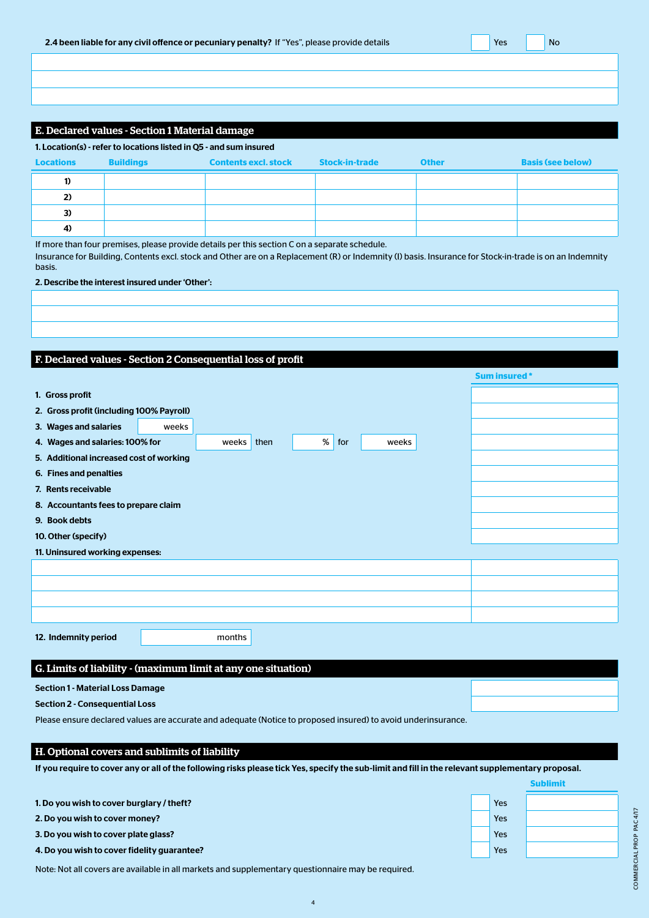| 2.4 been liable for any civil offence or pecuniary penalty? If "Yes", please provide details |  | Yes |  | <b>No</b> |
|----------------------------------------------------------------------------------------------|--|-----|--|-----------|
|----------------------------------------------------------------------------------------------|--|-----|--|-----------|

# E. Declared values - Section 1 Material damage

| 1. Location(s) - refer to locations listed in Q5 - and sum insured |                  |                             |                       |              |                          |
|--------------------------------------------------------------------|------------------|-----------------------------|-----------------------|--------------|--------------------------|
| <b>Locations</b>                                                   | <b>Buildings</b> | <b>Contents excl. stock</b> | <b>Stock-in-trade</b> | <b>Other</b> | <b>Basis (see below)</b> |
| $\bf{D}$                                                           |                  |                             |                       |              |                          |
| 2)                                                                 |                  |                             |                       |              |                          |
| 3)                                                                 |                  |                             |                       |              |                          |
| 4)                                                                 |                  |                             |                       |              |                          |

If more than four premises, please provide details per this section C on a separate schedule.

Insurance for Building, Contents excl. stock and Other are on a Replacement (R) or Indemnity (I) basis. Insurance for Stock-in-trade is on an Indemnity basis.

## 2. Describe the interest insured under 'Other':

# F. Declared values - Section 2 Consequential loss of profit

|                                          |                                      |        |      |      |     |  |       | <b>Sum insured *</b> |  |
|------------------------------------------|--------------------------------------|--------|------|------|-----|--|-------|----------------------|--|
| 1. Gross profit                          |                                      |        |      |      |     |  |       |                      |  |
| 2. Gross profit (including 100% Payroll) |                                      |        |      |      |     |  |       |                      |  |
| 3. Wages and salaries                    | weeks                                |        |      |      |     |  |       |                      |  |
| 4. Wages and salaries: 100% for          |                                      | weeks  | then | $\%$ | for |  | weeks |                      |  |
| 5. Additional increased cost of working  |                                      |        |      |      |     |  |       |                      |  |
| 6. Fines and penalties                   |                                      |        |      |      |     |  |       |                      |  |
| 7. Rents receivable                      |                                      |        |      |      |     |  |       |                      |  |
|                                          | 8. Accountants fees to prepare claim |        |      |      |     |  |       |                      |  |
| 9. Book debts                            |                                      |        |      |      |     |  |       |                      |  |
| 10. Other (specify)                      |                                      |        |      |      |     |  |       |                      |  |
| 11. Uninsured working expenses:          |                                      |        |      |      |     |  |       |                      |  |
|                                          |                                      |        |      |      |     |  |       |                      |  |
|                                          |                                      |        |      |      |     |  |       |                      |  |
|                                          |                                      |        |      |      |     |  |       |                      |  |
|                                          |                                      |        |      |      |     |  |       |                      |  |
| 12. Indemnity period                     |                                      | months |      |      |     |  |       |                      |  |
|                                          |                                      |        |      |      |     |  |       |                      |  |

## G. Limits of liability - (maximum limit at any one situation)

## Section 1 - Material Loss Damage

Section 2 - Consequential Loss

Please ensure declared values are accurate and adequate (Notice to proposed insured) to avoid underinsurance.

## H. Optional covers and sublimits of liability

If you require to cover any or all of the following risks please tick Yes, specify the sub-limit and fill in the relevant supplementary proposal.

| 1. Do you wish to cover burglary / theft?   | Yes        |  |
|---------------------------------------------|------------|--|
| 2. Do you wish to cover money?              | <b>Yes</b> |  |
| 3. Do you wish to cover plate glass?        | <b>Yes</b> |  |
| 4. Do you wish to cover fidelity guarantee? | <b>Yes</b> |  |
|                                             |            |  |

4

Note: Not all covers are available in all markets and supplementary questionnaire may be required.



**Sublimit**